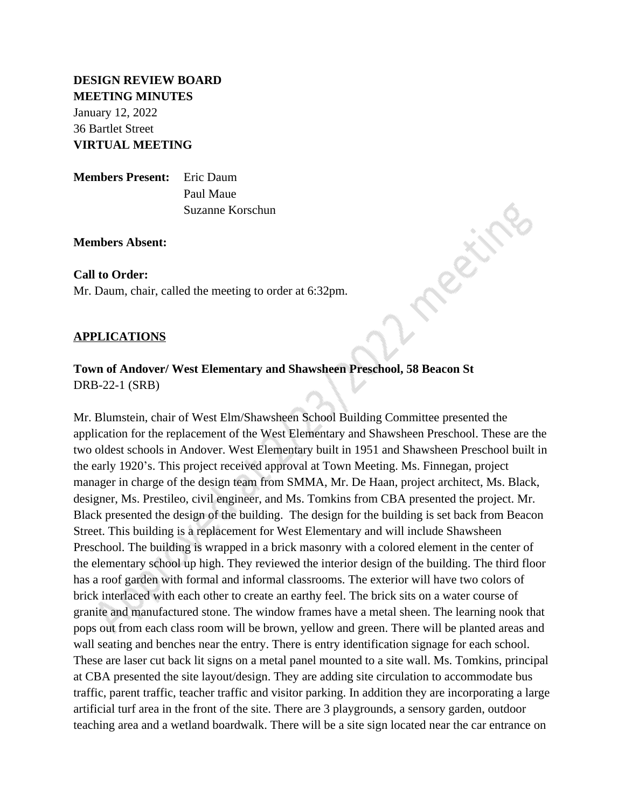# **DESIGN REVIEW BOARD MEETING MINUTES**

January 12, 2022 36 Bartlet Street **VIRTUAL MEETING**

**Members Present:** Eric Daum Paul Maue Suzanne Korschun

**Members Absent:**

## **Call to Order:**

Mr. Daum, chair, called the meeting to order at 6:32pm.

## **APPLICATIONS**

# **Town of Andover/ West Elementary and Shawsheen Preschool, 58 Beacon St** DRB-22-1 (SRB)

Mr. Blumstein, chair of West Elm/Shawsheen School Building Committee presented the application for the replacement of the West Elementary and Shawsheen Preschool. These are the two oldest schools in Andover. West Elementary built in 1951 and Shawsheen Preschool built in the early 1920's. This project received approval at Town Meeting. Ms. Finnegan, project manager in charge of the design team from SMMA, Mr. De Haan, project architect, Ms. Black, designer, Ms. Prestileo, civil engineer, and Ms. Tomkins from CBA presented the project. Mr. Black presented the design of the building. The design for the building is set back from Beacon Street. This building is a replacement for West Elementary and will include Shawsheen Preschool. The building is wrapped in a brick masonry with a colored element in the center of the elementary school up high. They reviewed the interior design of the building. The third floor has a roof garden with formal and informal classrooms. The exterior will have two colors of brick interlaced with each other to create an earthy feel. The brick sits on a water course of granite and manufactured stone. The window frames have a metal sheen. The learning nook that pops out from each class room will be brown, yellow and green. There will be planted areas and wall seating and benches near the entry. There is entry identification signage for each school. These are laser cut back lit signs on a metal panel mounted to a site wall. Ms. Tomkins, principal at CBA presented the site layout/design. They are adding site circulation to accommodate bus traffic, parent traffic, teacher traffic and visitor parking. In addition they are incorporating a large artificial turf area in the front of the site. There are 3 playgrounds, a sensory garden, outdoor teaching area and a wetland boardwalk. There will be a site sign located near the car entrance on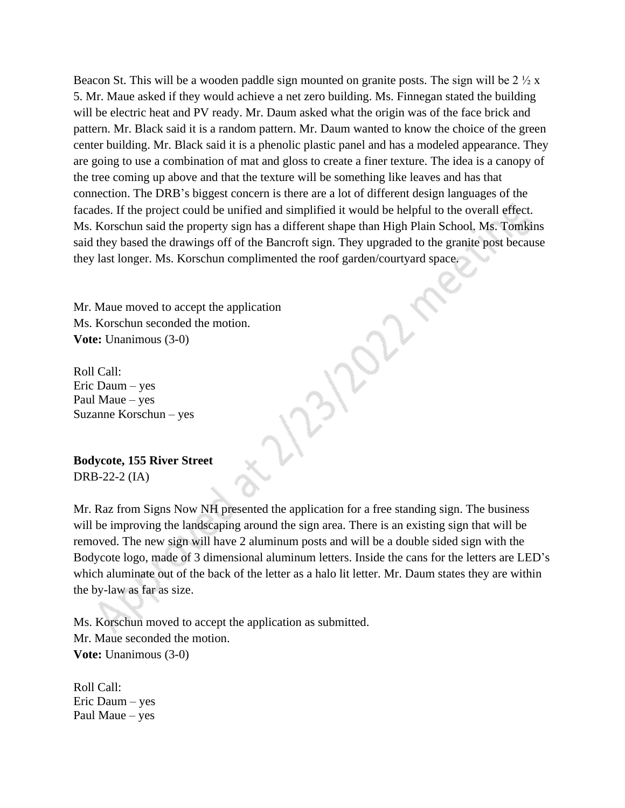Beacon St. This will be a wooden paddle sign mounted on granite posts. The sign will be  $2 \frac{1}{2} x$ 5. Mr. Maue asked if they would achieve a net zero building. Ms. Finnegan stated the building will be electric heat and PV ready. Mr. Daum asked what the origin was of the face brick and pattern. Mr. Black said it is a random pattern. Mr. Daum wanted to know the choice of the green center building. Mr. Black said it is a phenolic plastic panel and has a modeled appearance. They are going to use a combination of mat and gloss to create a finer texture. The idea is a canopy of the tree coming up above and that the texture will be something like leaves and has that connection. The DRB's biggest concern is there are a lot of different design languages of the facades. If the project could be unified and simplified it would be helpful to the overall effect. Ms. Korschun said the property sign has a different shape than High Plain School. Ms. Tomkins said they based the drawings off of the Bancroft sign. They upgraded to the granite post because they last longer. Ms. Korschun complimented the roof garden/courtyard space.

Mr. Maue moved to accept the application Ms. Korschun seconded the motion. **Vote:** Unanimous (3-0)

Roll Call: Eric Daum – yes Paul Maue – yes Suzanne Korschun – yes

**Bodycote, 155 River Street** DRB-22-2 (IA)

Mr. Raz from Signs Now NH presented the application for a free standing sign. The business will be improving the landscaping around the sign area. There is an existing sign that will be removed. The new sign will have 2 aluminum posts and will be a double sided sign with the Bodycote logo, made of 3 dimensional aluminum letters. Inside the cans for the letters are LED's which aluminate out of the back of the letter as a halo lit letter. Mr. Daum states they are within the by-law as far as size.

Ms. Korschun moved to accept the application as submitted. Mr. Maue seconded the motion. **Vote:** Unanimous (3-0)

Roll Call: Eric Daum – yes Paul Maue – yes